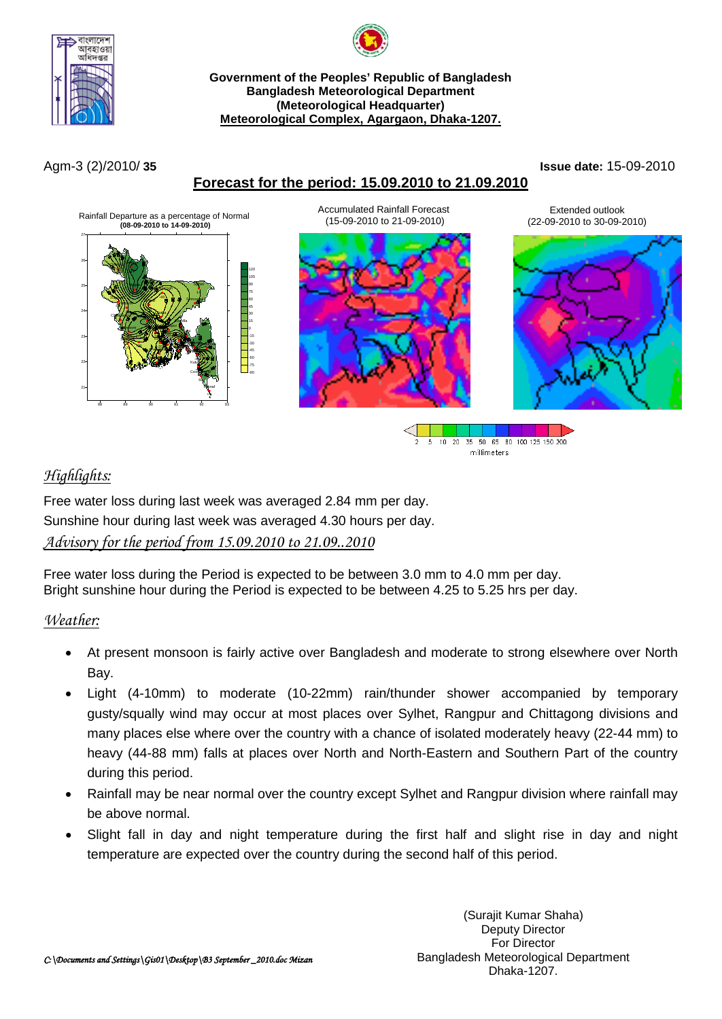



#### **Government of the Peoples' Republic of Bangladesh Bangladesh Meteorological Department (Meteorological Headquarter) Meteorological Complex, Agargaon, Dhaka-1207.**

### **Forecast for the period: 15.09.2010 to 21.09.2010**

Agm-3 (2)/2010/ **35 Issue date:** 15-09-2010





## *Highlights:*

Free water loss during last week was averaged 2.84 mm per day. Sunshine hour during last week was averaged 4.30 hours per day. *Advisory for the period from 15.09.2010 to 21.09..2010*

Free water loss during the Period is expected to be between 3.0 mm to 4.0 mm per day. Bright sunshine hour during the Period is expected to be between 4.25 to 5.25 hrs per day.

### *Weather:*

- At present monsoon is fairly active over Bangladesh and moderate to strong elsewhere over North Bay.
- Light (4-10mm) to moderate (10-22mm) rain/thunder shower accompanied by temporary gusty/squally wind may occur at most places over Sylhet, Rangpur and Chittagong divisions and many places else where over the country with a chance of isolated moderately heavy (22-44 mm) to heavy (44-88 mm) falls at places over North and North-Eastern and Southern Part of the country during this period.
- Rainfall may be near normal over the country except Sylhet and Rangpur division where rainfall may be above normal.
- Slight fall in day and night temperature during the first half and slight rise in day and night temperature are expected over the country during the second half of this period.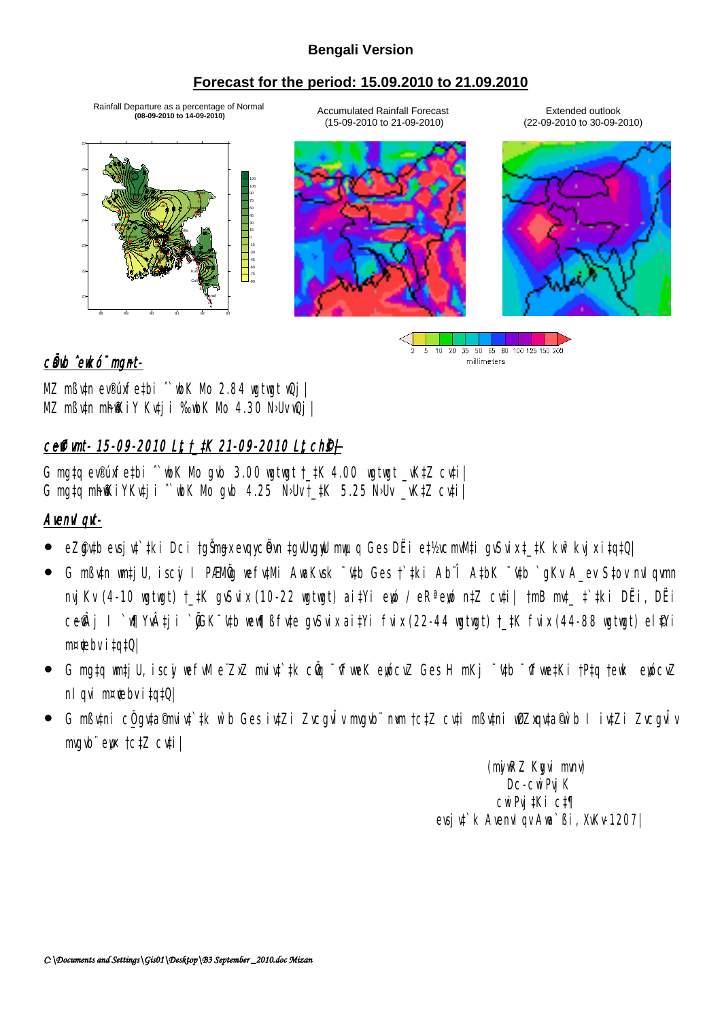### **Bengali Version**

### **Forecast for the period: 15.09.2010 to 21.09.2010**

Rainfall Departure as a percentage of Normal **(08-09-2010 to 14-09-2010)**



Accumulated Rainfall Forecast (15-09-2010 to 21-09-2010)

Extended outlook (22-09-2010 to 30-09-2010)



#### 5 10 20 35 50 65 80 100 125 150 200 millimeters

### cůwb ^ewkó¨ mgnt-

MZ mßv‡n ev®úxfe‡bi ^`wbK Mo 2.84 wgtwgt wQj | MZ mßv‡n mhfKiY Kv‡ji ‰vbK Mo 4.30 N›Uv vQj |

# ceffimt- 15-09-2010 Lt t\_tK 21-09-2010 Lt ch§+

G mgtg ev®úxfetbi  $\degree$  wbK Mo gvb 3.00 wgtwgt †  $\frac{1}{2}K$  4.00 wgtwgt vK $\frac{1}{2}Z$  cv $\frac{1}{2}$ G mgtg mh $\mathbb K$ iYKuti i `wbK Mo gub 4.25 N>Uv †  $\sharp$ K 5.25 N>Uv  $\sharp$  vK $\sharp$ Z cuti

## AvenvIqvt-

- eZ@ytb evsjyt`tki Dci †gŠmgx evqycëvn ‡gvUvgyU mwµq Ges DËi e‡½vcmvM‡i gvSvix ‡\_‡K kw3 kvjx i‡q‡Q|
- G mßv‡n wm‡jU, iscyi I PÆMÖvg wefv‡Mi AwaKvsk ¯'v‡b Ges †`‡ki Ab¨Î A‡bK ¯'v‡b `gKv A\_ev S‡ov nvIqvmn nvjKv (4-10 wgtwgt) †\_‡K gvSvix (10-22 wgtwgt) ai‡Yi ewó / eRª ewó n‡Z cv‡i| †mB mv‡\_ ‡`‡ki DËi, DËi ce�Âj I `w¶Yv‡ji `@GK<sup>-</sup>'u‡b wew¶ßfu‡e guSvix ai‡Yi fvix (22-44 wgtwgt) †\_‡K fvix (44-88 wgtwgt) el\$Yi  $m \times$ tebv i $\text{t}$ q $\text{t}$ Q $\mid$
- G mg‡q wm‡jU, iscyi wefwM e¨ZxZ mviv‡`‡k cÖq ¯^fweK eyócvZ Ges H mKj ¯'¢þ ¯^fwe‡Ki †P‡q †ewk eyócvZ nl qvi m¤ $\text{te}$ bv i $\text{t}$ q $\text{t}$ Q|
- G mߢtni c<u>Ö q</u>yta©mvi¢`‡k w`b Ges iy‡Zi ZvcqvÎv mvqvb¨ nwm †c‡Z cv‡i mßv‡ni wØZxqv‡a®w`b I iv‡Zi ZvcqvÎv mvgvb¨ ew †c‡Z cv‡i |

(myiwRZ Kygvi mvnv) D<sub>C</sub>-cwiPvj K cwiPvj‡Ki c‡¶ evsjut`k Avenvl qv Awa`ßi, XvKv-1207|